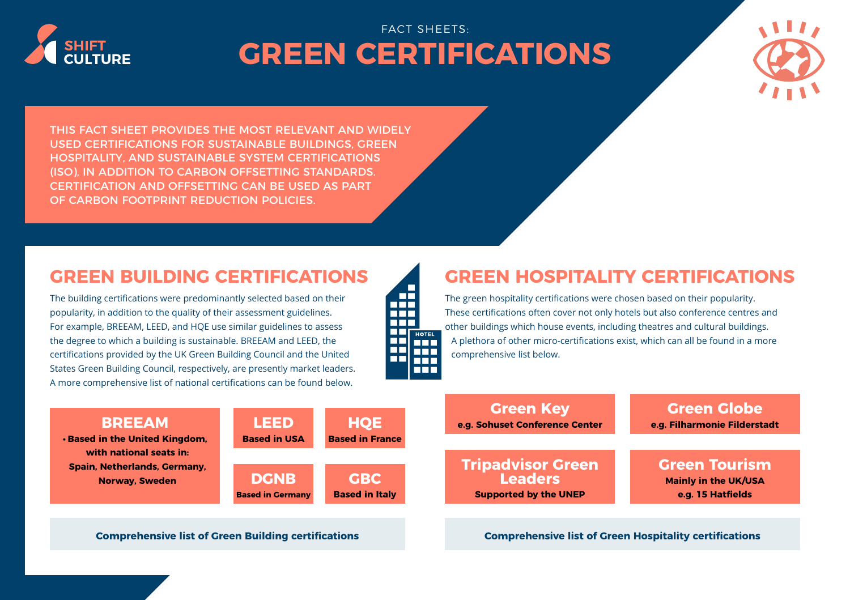

**• [Based in the United Kingdom,](https://www.breeam.com/)** 

**Spain, Netherlands, Germany,** 

## FACT SHEETS: **GREEN CERTIFICATIONS**



THIS FACT SHEET PROVIDES THE MOST RELEVANT AND WIDELY USED CERTIFICATIONS FOR SUSTAINABLE BUILDINGS, GREEN HOSPITALITY, AND SUSTAINABLE SYSTEM CERTIFICATIONS (ISO), IN ADDITION TO CARBON OFFSETTING STANDARDS. CERTIFICATION AND OFFSETTING CAN BE USED AS PART OF CARBON FOOTPRINT REDUCTION POLICIES.

The building certifications were predominantly selected based on their popularity, in addition to the quality of their assessment guidelines. For example, BREEAM, LEED, and HQE use similar guidelines to assess the degree to which a building is sustainable. BREEAM and LEED, the certifications provided by the UK Green Building Council and the United States Green Building Council, respectively, are presently market leaders. A more comprehensive list of national certifications can be found below.



## **GREEN BUILDING CERTIFICATIONS GREEN HOSPITALITY CERTIFICATIONS**

The green hospitality certifications were chosen based on their popularity. These certifications often cover not only hotels but also conference centres and other buildings which house events, including theatres and cultural buildings. A plethora of other micro-certifications exist, which can all be found in a more comprehensive list below.

| <b>BREEAM</b>                                        | <b>LEED</b>             | <b>HOE</b>             | <b>Green Key</b><br>e.g. Sohuset Conference Center | <b>Green Globe</b><br>e.g. Filharmonie Filderstadt |
|------------------------------------------------------|-------------------------|------------------------|----------------------------------------------------|----------------------------------------------------|
| ed in the United Kingdom,                            | <b>Based in USA</b>     | <b>Based in France</b> |                                                    |                                                    |
| with national seats in:<br>in, Netherlands, Germany, |                         |                        | <b>Tripadvisor Green</b>                           | <b>Green Tourism</b>                               |
| <b>Norway, Sweden</b>                                | <b>DGNB</b>             | <b>GBC</b>             | <b>Leaders</b>                                     | <b>Mainly in the UK/USA</b>                        |
|                                                      | <b>Based in Germany</b> | <b>Based in Italy</b>  | <b>Supported by the UNEP</b>                       | e.g. 15 Hatfields                                  |

**[Comprehensive list of Green Building certifications](https://www.worldgbc.org/rating-tools) [Comprehensive list of Green Hospitality certifications](https://sustainablehospitalityalliance.org/)**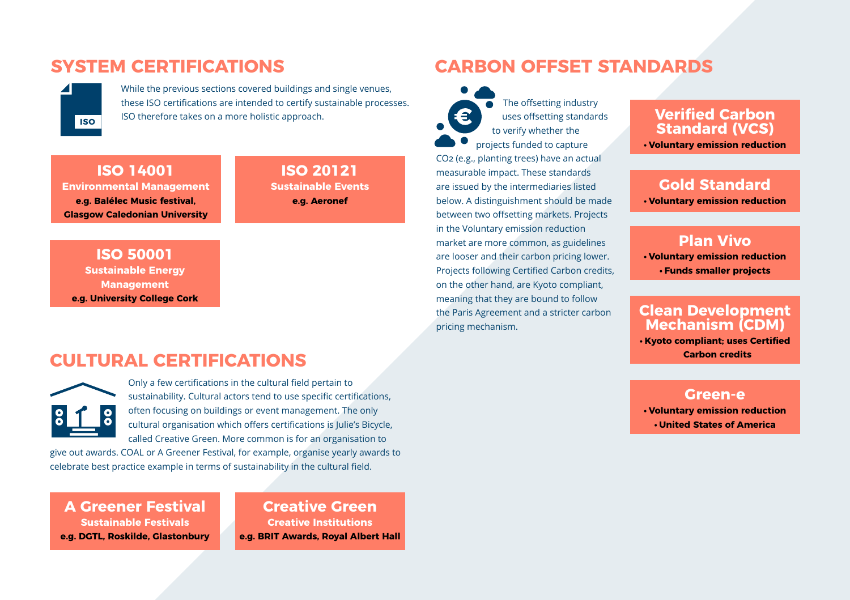

While the previous sections covered buildings and single venues, these ISO certifications are intended to certify sustainable processes. ISO therefore takes on a more holistic approach.

**ISO 14001 [Environmental Management](https://www.iso.org/standard/60857.html) e.g. Balélec Music festival, Glasgow Caledonian University**

**[ISO 20121](https://www.iso.org/iso-20121-sustainable-events.html) Sustainable Events e.g. Aeronef**

**ISO 50001 Sustainable Energy Management [e.g. University College Cork](https://www.iso.org/iso-50001-energy-management.html)** 

## **CULTURAL CERTIFICATIONS**



Only a few certifications in the cultural field pertain to sustainability. Cultural actors tend to use specific certifications, often focusing on buildings or event management. The only cultural organisation which offers certifications is Julie's Bicycle, called Creative Green. More common is for an organisation to

give out awards. COAL or A Greener Festival, for example, organise yearly awards to celebrate best practice example in terms of sustainability in the cultural field.

#### **[A Greener Festival](https://www.agreenerfestival.com/international-agf-awards/)  Sustainable Festivals e.g. DGTL, Roskilde, Glastonbury**

**[Creative Green](https://juliesbicycle.com/creativegreen-certification/) Creative Institutions e.g. BRIT Awards, Royal Albert Hall**

## **SYSTEM CERTIFICATIONS CARBON OFFSET STANDARDS**

The offsetting industry uses offsetting standards to verify whether the projects funded to capture CO2 (e.g., planting trees) have an actual measurable impact. These standards are issued by the intermediaries listed below. A distinguishment should be made between two offsetting markets. Projects in the Voluntary emission reduction market are more common, as guidelines are looser and their carbon pricing lower. Projects following Certified Carbon credits, on the other hand, are Kyoto compliant, meaning that they are bound to follow the Paris Agreement and a stricter carbon pricing mechanism.

#### **[Verified Carbon](https://verra.org/)  Standard (VCS)**

**• Voluntary emission reduction**

### **[Gold Standard](https://www.goldstandard.org/)**

**• Voluntary emission reduction**

# **[Plan Vivo •](https://www.planvivo.org/) Voluntary emission reduction**

**• Funds smaller projects**

#### **[Clean Development](https://cdm.unfccc.int/index.html)  Mechanism (CDM)**

**• Kyoto compliant; uses Certified Carbon credits**

### **Green-e**

**• [Voluntary emission reduction](https://www.green-e.org/certified-resources/carbon-offsets) • United States of America**